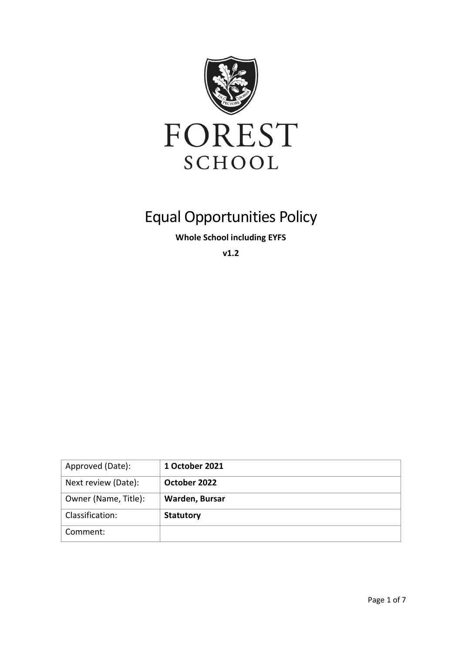

# Equal Opportunities Policy

**Whole School including EYFS**

**v1.2**

| Approved (Date):     | 1 October 2021   |
|----------------------|------------------|
| Next review (Date):  | October 2022     |
| Owner (Name, Title): | Warden, Bursar   |
| Classification:      | <b>Statutory</b> |
| Comment:             |                  |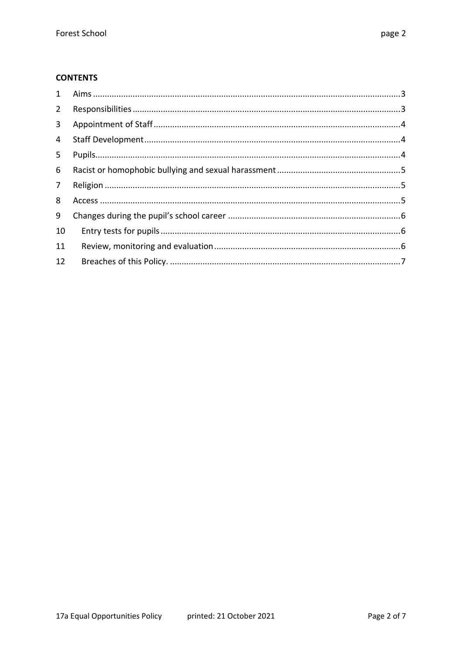#### **CONTENTS**

| $\mathbf{1}$   |  |
|----------------|--|
| $2^{\circ}$    |  |
| 3              |  |
| $\overline{4}$ |  |
| 5              |  |
| 6              |  |
| $\overline{7}$ |  |
| 8              |  |
| 9              |  |
| 10             |  |
| 11             |  |
| 12             |  |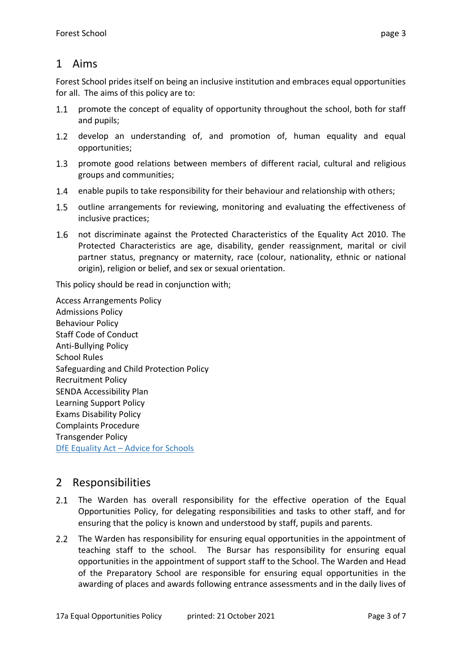#### 1 Aims

Forest School prides itself on being an inclusive institution and embraces equal opportunities for all. The aims of this policy are to:

- $1.1$ promote the concept of equality of opportunity throughout the school, both for staff and pupils;
- $1.2$ develop an understanding of, and promotion of, human equality and equal opportunities;
- $1.3$ promote good relations between members of different racial, cultural and religious groups and communities;
- $1.4$ enable pupils to take responsibility for their behaviour and relationship with others;
- $1.5$ outline arrangements for reviewing, monitoring and evaluating the effectiveness of inclusive practices;
- not discriminate against the Protected Characteristics of the Equality Act 2010. The Protected Characteristics are age, disability, gender reassignment, marital or civil partner status, pregnancy or maternity, race (colour, nationality, ethnic or national origin), religion or belief, and sex or sexual orientation.

This policy should be read in conjunction with;

Access Arrangements Policy Admissions Policy Behaviour Policy Staff Code of Conduct Anti-Bullying Policy School Rules Safeguarding and Child Protection Policy Recruitment Policy SENDA Accessibility Plan Learning Support Policy Exams Disability Policy Complaints Procedure Transgender Policy DfE Equality Act - [Advice for Schools](https://assets.publishing.service.gov.uk/government/uploads/system/uploads/attachment_data/file/315587/Equality_Act_Advice_Final.pdf)

## 2 Responsibilities

- 2.1 The Warden has overall responsibility for the effective operation of the Equal Opportunities Policy, for delegating responsibilities and tasks to other staff, and for ensuring that the policy is known and understood by staff, pupils and parents.
- 2.2 The Warden has responsibility for ensuring equal opportunities in the appointment of teaching staff to the school. The Bursar has responsibility for ensuring equal opportunities in the appointment of support staff to the School. The Warden and Head of the Preparatory School are responsible for ensuring equal opportunities in the awarding of places and awards following entrance assessments and in the daily lives of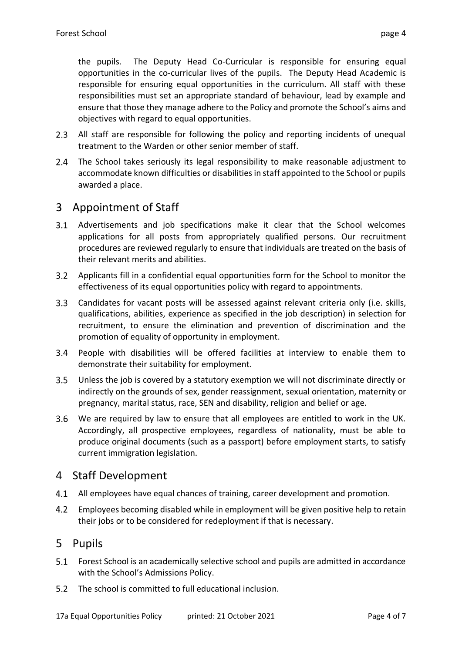the pupils. The Deputy Head Co-Curricular is responsible for ensuring equal opportunities in the co-curricular lives of the pupils. The Deputy Head Academic is responsible for ensuring equal opportunities in the curriculum. All staff with these responsibilities must set an appropriate standard of behaviour, lead by example and ensure that those they manage adhere to the Policy and promote the School's aims and objectives with regard to equal opportunities.

- All staff are responsible for following the policy and reporting incidents of unequal treatment to the Warden or other senior member of staff.
- $2.4$ The School takes seriously its legal responsibility to make reasonable adjustment to accommodate known difficulties or disabilities in staff appointed to the School or pupils awarded a place.

## 3 Appointment of Staff

- Advertisements and job specifications make it clear that the School welcomes applications for all posts from appropriately qualified persons. Our recruitment procedures are reviewed regularly to ensure that individuals are treated on the basis of their relevant merits and abilities.
- Applicants fill in a confidential equal opportunities form for the School to monitor the effectiveness of its equal opportunities policy with regard to appointments.
- $3.3$ Candidates for vacant posts will be assessed against relevant criteria only (i.e. skills, qualifications, abilities, experience as specified in the job description) in selection for recruitment, to ensure the elimination and prevention of discrimination and the promotion of equality of opportunity in employment.
- People with disabilities will be offered facilities at interview to enable them to demonstrate their suitability for employment.
- $3.5$ Unless the job is covered by a statutory exemption we will not discriminate directly or indirectly on the grounds of sex, gender reassignment, sexual orientation, maternity or pregnancy, marital status, race, SEN and disability, religion and belief or age.
- $3.6$ We are required by law to ensure that all employees are entitled to work in the UK. Accordingly, all prospective employees, regardless of nationality, must be able to produce original documents (such as a passport) before employment starts, to satisfy current immigration legislation.

#### 4 Staff Development

- $4.1$ All employees have equal chances of training, career development and promotion.
- $4.2$ Employees becoming disabled while in employment will be given positive help to retain their jobs or to be considered for redeployment if that is necessary.

#### 5 Pupils

- Forest School is an academically selective school and pupils are admitted in accordance with the School's Admissions Policy.
- 5.2 The school is committed to full educational inclusion.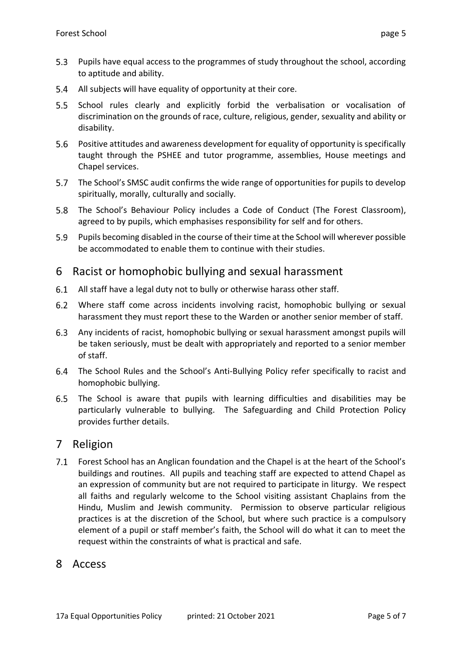- $5.3$ Pupils have equal access to the programmes of study throughout the school, according to aptitude and ability.
- $5.4$ All subjects will have equality of opportunity at their core.
- $5.5$ School rules clearly and explicitly forbid the verbalisation or vocalisation of discrimination on the grounds of race, culture, religious, gender, sexuality and ability or disability.
- $5.6$ Positive attitudes and awareness development for equality of opportunity is specifically taught through the PSHEE and tutor programme, assemblies, House meetings and Chapel services.
- The School's SMSC audit confirms the wide range of opportunities for pupils to develop spiritually, morally, culturally and socially.
- 5.8 The School's Behaviour Policy includes a Code of Conduct (The Forest Classroom), agreed to by pupils, which emphasises responsibility for self and for others.
- $5.9$ Pupils becoming disabled in the course of their time at the School will wherever possible be accommodated to enable them to continue with their studies.

#### 6 Racist or homophobic bullying and sexual harassment

- All staff have a legal duty not to bully or otherwise harass other staff.  $6.1$
- $6.2$ Where staff come across incidents involving racist, homophobic bullying or sexual harassment they must report these to the Warden or another senior member of staff.
- $6.3$ Any incidents of racist, homophobic bullying or sexual harassment amongst pupils will be taken seriously, must be dealt with appropriately and reported to a senior member of staff.
- The School Rules and the School's Anti-Bullying Policy refer specifically to racist and homophobic bullying.
- $6.5$ The School is aware that pupils with learning difficulties and disabilities may be particularly vulnerable to bullying. The Safeguarding and Child Protection Policy provides further details.

#### 7 Religion

7.1 Forest School has an Anglican foundation and the Chapel is at the heart of the School's buildings and routines. All pupils and teaching staff are expected to attend Chapel as an expression of community but are not required to participate in liturgy. We respect all faiths and regularly welcome to the School visiting assistant Chaplains from the Hindu, Muslim and Jewish community. Permission to observe particular religious practices is at the discretion of the School, but where such practice is a compulsory element of a pupil or staff member's faith, the School will do what it can to meet the request within the constraints of what is practical and safe.

#### 8 Access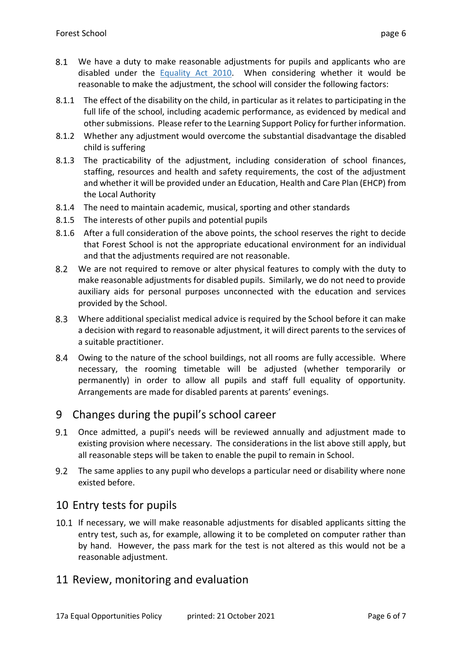- 8.1 We have a duty to make reasonable adjustments for pupils and applicants who are disabled under the [Equality Act 2010.](https://www.gov.uk/guidance/equality-act-2010-guidance) When considering whether it would be reasonable to make the adjustment, the school will consider the following factors:
- 8.1.1 The effect of the disability on the child, in particular as it relates to participating in the full life of the school, including academic performance, as evidenced by medical and other submissions. Please refer to the Learning Support Policy for further information.
- 8.1.2 Whether any adjustment would overcome the substantial disadvantage the disabled child is suffering
- 8.1.3 The practicability of the adjustment, including consideration of school finances, staffing, resources and health and safety requirements, the cost of the adjustment and whether it will be provided under an Education, Health and Care Plan (EHCP) from the Local Authority
- 8.1.4 The need to maintain academic, musical, sporting and other standards
- 8.1.5 The interests of other pupils and potential pupils
- 8.1.6 After a full consideration of the above points, the school reserves the right to decide that Forest School is not the appropriate educational environment for an individual and that the adjustments required are not reasonable.
- $8.2$ We are not required to remove or alter physical features to comply with the duty to make reasonable adjustments for disabled pupils. Similarly, we do not need to provide auxiliary aids for personal purposes unconnected with the education and services provided by the School.
- Where additional specialist medical advice is required by the School before it can make a decision with regard to reasonable adjustment, it will direct parents to the services of a suitable practitioner.
- 8.4 Owing to the nature of the school buildings, not all rooms are fully accessible. Where necessary, the rooming timetable will be adjusted (whether temporarily or permanently) in order to allow all pupils and staff full equality of opportunity. Arrangements are made for disabled parents at parents' evenings.

#### 9 Changes during the pupil's school career

- Once admitted, a pupil's needs will be reviewed annually and adjustment made to existing provision where necessary. The considerations in the list above still apply, but all reasonable steps will be taken to enable the pupil to remain in School.
- $9.2$ The same applies to any pupil who develops a particular need or disability where none existed before.

## 10 Entry tests for pupils

10.1 If necessary, we will make reasonable adjustments for disabled applicants sitting the entry test, such as, for example, allowing it to be completed on computer rather than by hand. However, the pass mark for the test is not altered as this would not be a reasonable adjustment.

#### 11 Review, monitoring and evaluation